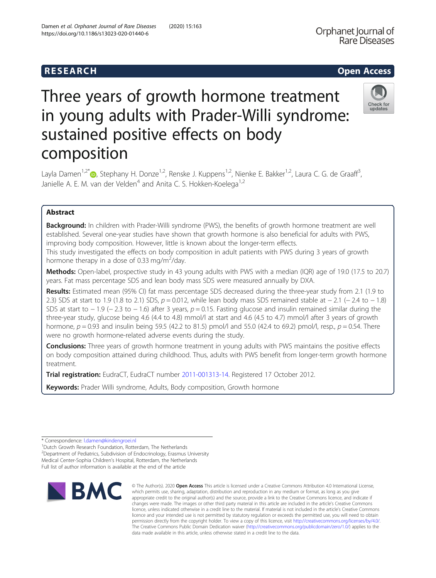composition

# Damen et al. Orphanet Journal of Rare Diseases (2020) 15:163 https://doi.org/10.1186/s13023-020-01440-6

Three years of growth hormone treatment in young adults with Prader-Willi syndrome: sustained positive effects on body

Layla Damen<sup>1[,](http://orcid.org/0000-0003-2562-6176)2\*</sup> <sub>(b</sub>, Stephany H. Donze<sup>1,2</sup>, Renske J. Kuppens<sup>1,2</sup>, Nienke E. Bakker<sup>1,2</sup>, Laura C. G. de Graaff<sup>3</sup>, Janielle A. E. M. van der Velden<sup>4</sup> and Anita C. S. Hokken-Koelega<sup>1,2</sup>

# Abstract

Background: In children with Prader-Willi syndrome (PWS), the benefits of growth hormone treatment are well established. Several one-year studies have shown that growth hormone is also beneficial for adults with PWS, improving body composition. However, little is known about the longer-term effects.

This study investigated the effects on body composition in adult patients with PWS during 3 years of growth hormone therapy in a dose of 0.33 mg/m<sup>2</sup>/day.

Methods: Open-label, prospective study in 43 young adults with PWS with a median (IQR) age of 19.0 (17.5 to 20.7) years. Fat mass percentage SDS and lean body mass SDS were measured annually by DXA.

Results: Estimated mean (95% CI) fat mass percentage SDS decreased during the three-year study from 2.1 (1.9 to 2.3) SDS at start to 1.9 (1.8 to 2.1) SDS,  $p = 0.012$ , while lean body mass SDS remained stable at −2.1 (−2.4 to −1.8) SDS at start to − 1.9 (− 2.3 to − 1.6) after 3 years,  $p = 0.15$ . Fasting glucose and insulin remained similar during the three-year study, glucose being 4.6 (4.4 to 4.8) mmol/l at start and 4.6 (4.5 to 4.7) mmol/l after 3 years of growth hormone,  $p = 0.93$  and insulin being 59.5 (42.2 to 81.5) pmol/l and 55.0 (42.4 to 69.2) pmol/l, resp.,  $p = 0.54$ . There were no growth hormone-related adverse events during the study.

**Conclusions:** Three years of growth hormone treatment in young adults with PWS maintains the positive effects on body composition attained during childhood. Thus, adults with PWS benefit from longer-term growth hormone treatment.

Trial registration: EudraCT, EudraCT number [2011-001313-14](https://www.clinicaltrialsregister.eu/ctr-search/search?query=2011-001313-14). Registered 17 October 2012.

Keywords: Prader Willi syndrome, Adults, Body composition, Growth hormone

\* Correspondence: [l.damen@kindengroei.nl](mailto:l.damen@kindengroei.nl) <sup>1</sup>

<sup>1</sup>Dutch Growth Research Foundation, Rotterdam, The Netherlands

<sup>2</sup>Department of Pediatrics, Subdivision of Endocrinology, Erasmus University Medical Center-Sophia Children's Hospital, Rotterdam, the Netherlands Full list of author information is available at the end of the article



© The Author(s), 2020 **Open Access** This article is licensed under a Creative Commons Attribution 4.0 International License, which permits use, sharing, adaptation, distribution and reproduction in any medium or format, as long as you give appropriate credit to the original author(s) and the source, provide a link to the Creative Commons licence, and indicate if changes were made. The images or other third party material in this article are included in the article's Creative Commons licence, unless indicated otherwise in a credit line to the material. If material is not included in the article's Creative Commons licence and your intended use is not permitted by statutory regulation or exceeds the permitted use, you will need to obtain permission directly from the copyright holder. To view a copy of this licence, visit [http://creativecommons.org/licenses/by/4.0/.](http://creativecommons.org/licenses/by/4.0/) The Creative Commons Public Domain Dedication waiver [\(http://creativecommons.org/publicdomain/zero/1.0/](http://creativecommons.org/publicdomain/zero/1.0/)) applies to the data made available in this article, unless otherwise stated in a credit line to the data.



,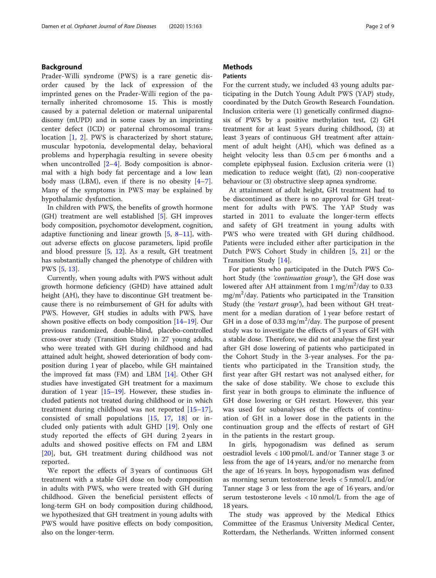# Background

Prader-Willi syndrome (PWS) is a rare genetic disorder caused by the lack of expression of the imprinted genes on the Prader-Willi region of the paternally inherited chromosome 15. This is mostly caused by a paternal deletion or maternal uniparental disomy (mUPD) and in some cases by an imprinting center defect (ICD) or paternal chromosomal translocation [[1,](#page-7-0) [2](#page-7-0)]. PWS is characterized by short stature, muscular hypotonia, developmental delay, behavioral problems and hyperphagia resulting in severe obesity when uncontrolled  $[2-4]$  $[2-4]$  $[2-4]$  $[2-4]$ . Body composition is abnormal with a high body fat percentage and a low lean body mass (LBM), even if there is no obesity  $[4-7]$  $[4-7]$  $[4-7]$  $[4-7]$ . Many of the symptoms in PWS may be explained by hypothalamic dysfunction.

In children with PWS, the benefits of growth hormone (GH) treatment are well established [\[5](#page-7-0)]. GH improves body composition, psychomotor development, cognition, adaptive functioning and linear growth [[5,](#page-7-0) [8](#page-7-0)–[11\]](#page-7-0), without adverse effects on glucose parameters, lipid profile and blood pressure [[5,](#page-7-0) [12](#page-7-0)]. As a result, GH treatment has substantially changed the phenotype of children with PWS [\[5](#page-7-0), [13](#page-7-0)].

Currently, when young adults with PWS without adult growth hormone deficiency (GHD) have attained adult height (AH), they have to discontinue GH treatment because there is no reimbursement of GH for adults with PWS. However, GH studies in adults with PWS, have shown positive effects on body composition [[14](#page-7-0)–[19\]](#page-7-0). Our previous randomized, double-blind, placebo-controlled cross-over study (Transition Study) in 27 young adults, who were treated with GH during childhood and had attained adult height, showed deterioration of body composition during 1 year of placebo, while GH maintained the improved fat mass (FM) and LBM [\[14\]](#page-7-0). Other GH studies have investigated GH treatment for a maximum duration of  $1$  year  $[15–19]$  $[15–19]$  $[15–19]$  $[15–19]$ . However, these studies included patients not treated during childhood or in which treatment during childhood was not reported [[15](#page-7-0)–[17](#page-7-0)], consisted of small populations [[15,](#page-7-0) [17,](#page-7-0) [18\]](#page-7-0) or included only patients with adult GHD [[19\]](#page-7-0). Only one study reported the effects of GH during 2 years in adults and showed positive effects on FM and LBM [[20\]](#page-7-0), but, GH treatment during childhood was not reported.

We report the effects of 3 years of continuous GH treatment with a stable GH dose on body composition in adults with PWS, who were treated with GH during childhood. Given the beneficial persistent effects of long-term GH on body composition during childhood, we hypothesized that GH treatment in young adults with PWS would have positive effects on body composition, also on the longer-term.

# **Methods**

### Patients

For the current study, we included 43 young adults participating in the Dutch Young Adult PWS (YAP) study, coordinated by the Dutch Growth Research Foundation. Inclusion criteria were (1) genetically confirmed diagnosis of PWS by a positive methylation test, (2) GH treatment for at least 5 years during childhood, (3) at least 3 years of continuous GH treatment after attainment of adult height (AH), which was defined as a height velocity less than 0.5 cm per 6 months and a complete epiphyseal fusion. Exclusion criteria were (1) medication to reduce weight (fat), (2) non-cooperative behaviour or (3) obstructive sleep apnea syndrome.

At attainment of adult height, GH treatment had to be discontinued as there is no approval for GH treatment for adults with PWS. The YAP Study was started in 2011 to evaluate the longer-term effects and safety of GH treatment in young adults with PWS who were treated with GH during childhood. Patients were included either after participation in the Dutch PWS Cohort Study in children [[5,](#page-7-0) [21](#page-7-0)] or the Transition Study [[14\]](#page-7-0).

For patients who participated in the Dutch PWS Cohort Study (the 'continuation group'), the GH dose was lowered after AH attainment from  $1 \text{ mg/m}^2/\text{day}$  to 0.33 mg/m<sup>2</sup> /day. Patients who participated in the Transition Study (the 'restart group'), had been without GH treatment for a median duration of 1 year before restart of GH in a dose of 0.33 mg/m<sup>2</sup>/day. The purpose of present study was to investigate the effects of 3 years of GH with a stable dose. Therefore, we did not analyse the first year after GH dose lowering of patients who participated in the Cohort Study in the 3-year analyses. For the patients who participated in the Transition study, the first year after GH restart was not analysed either, for the sake of dose stability. We chose to exclude this first year in both groups to eliminate the influence of GH dose lowering or GH restart. However, this year was used for subanalyses of the effects of continuation of GH in a lower dose in the patients in the continuation group and the effects of restart of GH in the patients in the restart group.

In girls, hypogonadism was defined as serum oestradiol levels < 100 pmol/L and/or Tanner stage 3 or less from the age of 14 years, and/or no menarche from the age of 16 years. In boys, hypogonadism was defined as morning serum testosterone levels < 5 nmol/L and/or Tanner stage 3 or less from the age of 16 years, and/or serum testosterone levels < 10 nmol/L from the age of 18 years.

The study was approved by the Medical Ethics Committee of the Erasmus University Medical Center, Rotterdam, the Netherlands. Written informed consent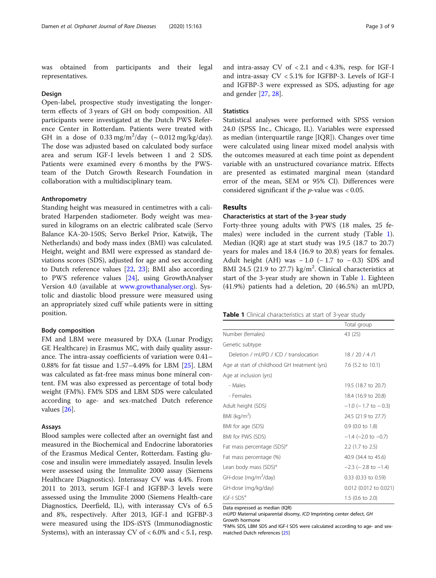was obtained from participants and their legal representatives.

### Design

Open-label, prospective study investigating the longerterm effects of 3 years of GH on body composition. All participants were investigated at the Dutch PWS Reference Center in Rotterdam. Patients were treated with GH in a dose of  $0.33$  mg/m<sup>2</sup>/day (~  $0.012$  mg/kg/day). The dose was adjusted based on calculated body surface area and serum IGF-I levels between 1 and 2 SDS. Patients were examined every 6 months by the PWSteam of the Dutch Growth Research Foundation in collaboration with a multidisciplinary team.

### Anthropometry

Standing height was measured in centimetres with a calibrated Harpenden stadiometer. Body weight was measured in kilograms on an electric calibrated scale (Servo Balance KA-20-150S; Servo Berkel Prior, Katwijk, The Netherlands) and body mass index (BMI) was calculated. Height, weight and BMI were expressed as standard deviations scores (SDS), adjusted for age and sex according to Dutch reference values [[22,](#page-7-0) [23\]](#page-7-0); BMI also according to PWS reference values [[24\]](#page-7-0), using GrowthAnalyser Version 4.0 (available at [www.growthanalyser.org](http://www.growthanalyser.org)). Systolic and diastolic blood pressure were measured using an appropriately sized cuff while patients were in sitting position.

### Body composition

FM and LBM were measured by DXA (Lunar Prodigy; GE Healthcare) in Erasmus MC, with daily quality assurance. The intra-assay coefficients of variation were 0.41– 0.88% for fat tissue and 1.57–4.49% for LBM [\[25](#page-7-0)]. LBM was calculated as fat-free mass minus bone mineral content. FM was also expressed as percentage of total body weight (FM%). FM% SDS and LBM SDS were calculated according to age- and sex-matched Dutch reference values [[26\]](#page-7-0).

### Assays

Blood samples were collected after an overnight fast and measured in the Biochemical and Endocrine laboratories of the Erasmus Medical Center, Rotterdam. Fasting glucose and insulin were immediately assayed. Insulin levels were assessed using the Immulite 2000 assay (Siemens Healthcare Diagnostics). Interassay CV was 4.4%. From 2011 to 2013, serum IGF-I and IGFBP-3 levels were assessed using the Immulite 2000 (Siemens Health-care Diagnostics, Deerfield, IL), with interassay CVs of 6.5 and 8%, respectively. After 2013, IGF-I and IGFBP-3 were measured using the IDS-iSYS (Immunodiagnostic Systems), with an interassay CV of  $< 6.0\%$  and  $< 5.1$ , resp. and intra-assay CV of < 2.1 and < 4.3%, resp. for IGF-I and intra-assay CV < 5.1% for IGFBP-3. Levels of IGF-I and IGFBP-3 were expressed as SDS, adjusting for age and gender [[27](#page-7-0), [28](#page-8-0)].

## **Statistics**

Statistical analyses were performed with SPSS version 24.0 (SPSS Inc., Chicago, IL). Variables were expressed as median (interquartile range [IQR]). Changes over time were calculated using linear mixed model analysis with the outcomes measured at each time point as dependent variable with an unstructured covariance matrix. Effects are presented as estimated marginal mean (standard error of the mean, SEM or 95% CI). Differences were considered significant if the  $p$ -value was < 0.05.

# Results

## Characteristics at start of the 3-year study

Forty-three young adults with PWS (18 males, 25 females) were included in the current study (Table 1). Median (IQR) age at start study was 19.5 (18.7 to 20.7) years for males and 18.4 (16.9 to 20.8) years for females. Adult height (AH) was  $-1.0$  ( $-1.7$  to  $-0.3$ ) SDS and BMI 24.5 (21.9 to 27.7) kg/m<sup>2</sup>. Clinical characteristics at start of the 3-year study are shown in Table 1. Eighteen (41.9%) patients had a deletion, 20 (46.5%) an mUPD,

|                                              | Total group                 |
|----------------------------------------------|-----------------------------|
| Number (females)                             | 43 (25)                     |
| Genetic subtype                              |                             |
| Deletion / mUPD / ICD / translocation        | 18/20/4/1                   |
| Age at start of childhood GH treatment (yrs) | 7.6 (5.2 to 10.1)           |
| Age at inclusion (yrs)                       |                             |
| - Males                                      | 19.5 (18.7 to 20.7)         |
| - Females                                    | 18.4 (16.9 to 20.8)         |
| Adult height (SDS)                           | $-1.0$ ( $-1.7$ to $-0.3$ ) |
| BMI ( $kg/m2$ )                              | 24.5 (21.9 to 27.7)         |
| BMI for age (SDS)                            | 0.9 (0.0 to 1.8)            |
| BMI for PWS (SDS)                            | $-1.4$ (-2.0 to -0.7)       |
| Fat mass percentage (SDS) <sup>d</sup>       | 2.2 (1.7 to 2.5)            |
| Fat mass percentage (%)                      | 40.9 (34.4 to 45.6)         |
| Lean body mass (SDS) <sup>a</sup>            | $-2.3$ ( $-2.8$ to $-1.4$ ) |
| GH-dose (mg/m <sup>2</sup> /day)             | 0.33 (0.33 to 0.59)         |
| GH-dose (mg/kg/day)                          | 0.012 (0.012 to 0.021)      |
| IGF-I SDS <sup>a</sup>                       | $1.5$ (0.6 to 2.0)          |

Data expressed as median (IQR)

mUPD Maternal uniparental disomy, ICD Imprinting center defect, GH Growth hormone

<sup>a</sup>FM% SDS, LBM SDS and IGF-I SDS were calculated according to age- and sexmatched Dutch references [[25](#page-7-0)]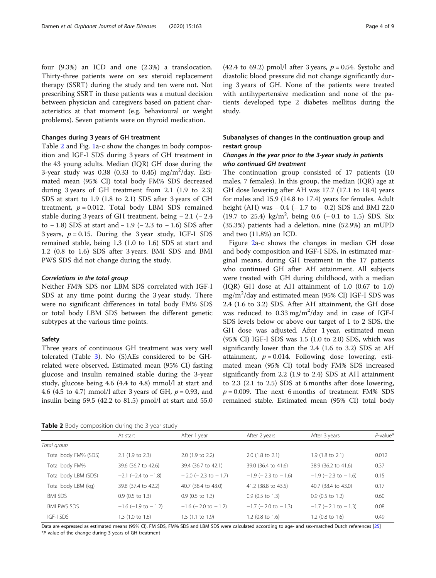four (9.3%) an ICD and one (2.3%) a translocation. Thirty-three patients were on sex steroid replacement therapy (SSRT) during the study and ten were not. Not prescribing SSRT in these patients was a mutual decision between physician and caregivers based on patient characteristics at that moment (e.g. behavioural or weight problems). Seven patients were on thyroid medication.

### Changes during 3 years of GH treatment

Table 2 and Fig. [1a](#page-4-0)-c show the changes in body composition and IGF-I SDS during 3 years of GH treatment in the 43 young adults. Median (IQR) GH dose during the 3-year study was  $0.38$   $(0.33$  to  $0.45)$  mg/m<sup>2</sup>/day. Estimated mean (95% CI) total body FM% SDS decreased during 3 years of GH treatment from 2.1 (1.9 to 2.3) SDS at start to 1.9 (1.8 to 2.1) SDS after 3 years of GH treatment,  $p = 0.012$ . Total body LBM SDS remained stable during 3 years of GH treatment, being − 2.1 (− 2.4 to − 1.8) SDS at start and − 1.9 (− 2.3 to − 1.6) SDS after 3 years,  $p = 0.15$ . During the 3 year study, IGF-I SDS remained stable, being 1.3 (1.0 to 1.6) SDS at start and 1.2 (0.8 to 1.6) SDS after 3 years. BMI SDS and BMI PWS SDS did not change during the study.

### Correlations in the total group

Neither FM% SDS nor LBM SDS correlated with IGF-I SDS at any time point during the 3 year study. There were no significant differences in total body FM% SDS or total body LBM SDS between the different genetic subtypes at the various time points.

### Safety

Three years of continuous GH treatment was very well tolerated (Table [3](#page-5-0)). No (S)AEs considered to be GHrelated were observed. Estimated mean (95% CI) fasting glucose and insulin remained stable during the 3-year study, glucose being 4.6 (4.4 to 4.8) mmol/l at start and 4.6 (4.5 to 4.7) mmol/l after 3 years of GH,  $p = 0.93$ , and insulin being 59.5 (42.2 to 81.5) pmol/l at start and 55.0

Table 2 Body composition during the 3-year study

(42.4 to 69.2) pmol/l after 3 years,  $p = 0.54$ . Systolic and diastolic blood pressure did not change significantly during 3 years of GH. None of the patients were treated with antihypertensive medication and none of the patients developed type 2 diabetes mellitus during the study.

# Subanalyses of changes in the continuation group and restart group

# Changes in the year prior to the 3-year study in patients who continued GH treatment

The continuation group consisted of 17 patients (10 males, 7 females). In this group, the median (IQR) age at GH dose lowering after AH was 17.7 (17.1 to 18.4) years for males and 15.9 (14.8 to 17.4) years for females. Adult height (AH) was − 0.4 (− 1.7 to − 0.2) SDS and BMI 22.0 (19.7 to 25.4) kg/m<sup>2</sup> , being 0.6 (− 0.1 to 1.5) SDS. Six (35.3%) patients had a deletion, nine (52.9%) an mUPD and two (11.8%) an ICD.

Figure [2a](#page-5-0)-c shows the changes in median GH dose and body composition and IGF-I SDS, in estimated marginal means, during GH treatment in the 17 patients who continued GH after AH attainment. All subjects were treated with GH during childhood, with a median (IQR) GH dose at AH attainment of 1.0 (0.67 to 1.0) mg/m<sup>2</sup> /day and estimated mean (95% CI) IGF-I SDS was 2.4 (1.6 to 3.2) SDS. After AH attainment, the GH dose was reduced to  $0.33 \text{ mg/m}^2/\text{day}$  and in case of IGF-I SDS levels below or above our target of 1 to 2 SDS, the GH dose was adjusted. After 1 year, estimated mean (95% CI) IGF-I SDS was 1.5 (1.0 to 2.0) SDS, which was significantly lower than the 2.4 (1.6 to 3.2) SDS at AH attainment,  $p = 0.014$ . Following dose lowering, estimated mean (95% CI) total body FM% SDS increased significantly from 2.2 (1.9 to 2.4) SDS at AH attainment to 2.3 (2.1 to 2.5) SDS at 6 months after dose lowering,  $p = 0.009$ . The next 6 months of treatment FM% SDS remained stable. Estimated mean (95% CI) total body

| <b>TWAIL A</b> DOUY COMPOSITION GRIMLY the 3 year stacky |                             |                             |                             |                             |             |  |  |  |  |
|----------------------------------------------------------|-----------------------------|-----------------------------|-----------------------------|-----------------------------|-------------|--|--|--|--|
|                                                          | At start                    | After 1 year                | After 2 years               | After 3 years               | $P$ -value* |  |  |  |  |
| Total group                                              |                             |                             |                             |                             |             |  |  |  |  |
| Total body FM% (SDS)                                     | $2.1$ (1.9 to 2.3)          | 2.0 (1.9 to 2.2)            | $2.0$ (1.8 to 2.1)          | $1.9(1.8 \text{ to } 2.1)$  | 0.012       |  |  |  |  |
| Total body FM%                                           | 39.6 (36.7 to 42.6)         | 39.4 (36.7 to 42.1)         | 39.0 (36.4 to 41.6)         | 38.9 (36.2 to 41.6)         | 0.37        |  |  |  |  |
| Total body LBM (SDS)                                     | $-2.1$ ( $-2.4$ to $-1.8$ ) | $-2.0$ ( $-2.3$ to $-1.7$ ) | $-1.9$ ( $-2.3$ to $-1.6$ ) | $-1.9$ ( $-2.3$ to $-1.6$ ) | 0.15        |  |  |  |  |
| Total body LBM (kg)                                      | 39.8 (37.4 to 42.2)         | 40.7 (38.4 to 43.0)         | 41.2 (38.8 to 43.5)         | 40.7 (38.4 to 43.0)         | 0.17        |  |  |  |  |
| <b>BMI SDS</b>                                           | $0.9$ (0.5 to 1.3)          | $0.9$ (0.5 to 1.3)          | $0.9$ (0.5 to 1.3)          | $0.9$ (0.5 to 1.2)          | 0.60        |  |  |  |  |
| <b>BMI PWS SDS</b>                                       | $-1.6$ ( $-1.9$ to $-1.2$ ) | $-1.6$ ( $-2.0$ to $-1.2$ ) | $-1.7$ ( $-2.0$ to $-1.3$ ) | $-1.7$ ( $-2.1$ to $-1.3$ ) | 0.08        |  |  |  |  |
| IGF-I SDS                                                | 1.3 (1.0 to 1.6)            | $1.5$ (1.1 to 1.9)          | $1.2$ (0.8 to $1.6$ )       | $1.2$ (0.8 to 1.6)          | 0.49        |  |  |  |  |

Data are expressed as estimated means (95% CI). FM SDS, FM% SDS and LBM SDS were calculated according to age- and sex-matched Dutch references [\[25\]](#page-7-0) \*P-value of the change during 3 years of GH treatment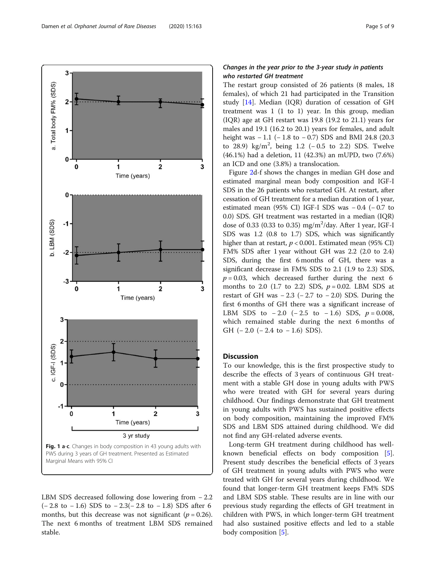<span id="page-4-0"></span>

LBM SDS decreased following dose lowering from − 2.2 (− 2.8 to − 1.6) SDS to − 2.3(− 2.8 to − 1.8) SDS after 6 months, but this decrease was not significant ( $p = 0.26$ ). The next 6 months of treatment LBM SDS remained stable.

# Changes in the year prior to the 3-year study in patients who restarted GH treatment

The restart group consisted of 26 patients (8 males, 18 females), of which 21 had participated in the Transition study [\[14](#page-7-0)]. Median (IQR) duration of cessation of GH treatment was 1 (1 to 1) year. In this group, median (IQR) age at GH restart was 19.8 (19.2 to 21.1) years for males and 19.1 (16.2 to 20.1) years for females, and adult height was − 1.1 (− 1.8 to − 0.7) SDS and BMI 24.8 (20.3 to 28.9) kg/m<sup>2</sup>, being 1.2 ( $-0.5$  to 2.2) SDS. Twelve (46.1%) had a deletion, 11 (42.3%) an mUPD, two (7.6%) an ICD and one (3.8%) a translocation.

Figure [2](#page-5-0)d-f shows the changes in median GH dose and estimated marginal mean body composition and IGF-I SDS in the 26 patients who restarted GH. At restart, after cessation of GH treatment for a median duration of 1 year, estimated mean (95% CI) IGF-I SDS was − 0.4 (− 0.7 to 0.0) SDS. GH treatment was restarted in a median (IQR) dose of 0.33 (0.33 to 0.35) mg/m<sup>2</sup>/day. After 1 year, IGF-I SDS was 1.2 (0.8 to 1.7) SDS, which was significantly higher than at restart,  $p < 0.001$ . Estimated mean (95% CI) FM% SDS after 1 year without GH was 2.2 (2.0 to 2.4) SDS, during the first 6 months of GH, there was a significant decrease in FM% SDS to 2.1 (1.9 to 2.3) SDS,  $p = 0.03$ , which decreased further during the next 6 months to 2.0 (1.7 to 2.2) SDS,  $p = 0.02$ . LBM SDS at restart of GH was  $-2.3$  ( $-2.7$  to  $-2.0$ ) SDS. During the first 6 months of GH there was a significant increase of LBM SDS to  $-2.0$  ( $-2.5$  to  $-1.6$ ) SDS,  $p = 0.008$ , which remained stable during the next 6 months of GH  $(-2.0$   $(-2.4$  to  $-1.6)$  SDS).

# **Discussion**

To our knowledge, this is the first prospective study to describe the effects of 3 years of continuous GH treatment with a stable GH dose in young adults with PWS who were treated with GH for several years during childhood. Our findings demonstrate that GH treatment in young adults with PWS has sustained positive effects on body composition, maintaining the improved FM% SDS and LBM SDS attained during childhood. We did not find any GH-related adverse events.

Long-term GH treatment during childhood has wellknown beneficial effects on body composition [\[5](#page-7-0)]. Present study describes the beneficial effects of 3 years of GH treatment in young adults with PWS who were treated with GH for several years during childhood. We found that longer-term GH treatment keeps FM% SDS and LBM SDS stable. These results are in line with our previous study regarding the effects of GH treatment in children with PWS, in which longer-term GH treatment had also sustained positive effects and led to a stable body composition [\[5](#page-7-0)].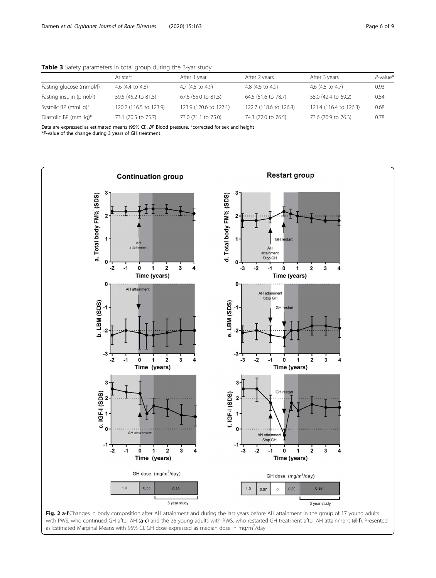|                          | At start               | After 1 year           | After 2 years          | After 3 years          | $P$ -value* |
|--------------------------|------------------------|------------------------|------------------------|------------------------|-------------|
| Fasting glucose (mmol/l) | 4.6 (4.4 to 4.8)       | 4.7 (4.5 to 4.9)       | 4.8 (4.6 to 4.9)       | 4.6 (4.5 to 4.7)       | 0.93        |
| Fasting insulin (pmol/l) | 59.5 (45.2 to 81.5)    | 67.6 (55.0 to 81.5)    | 64.5 (51.6 to 78.7)    | 55.0 (42.4 to 69.2)    | 0.54        |
| Systolic BP (mmHg)*      | 120.2 (116.5 to 123.9) | 123.9 (120.6 to 127.1) | 122.7 (118.6 to 126.8) | 121.4 (116.4 to 126.3) | 0.68        |
| Diastolic BP (mmHg)*     | 73.1 (70.5 to 75.7)    | 73.0 (71.1 to 75.0)    | 74.3 (72.0 to 76.5)    | 73.6 (70.9 to 76.3)    | 0.78        |

<span id="page-5-0"></span>Table 3 Safety parameters in total group during the 3-yar study

Data are expressed as estimated means (95% CI). BP Blood pressure. \*corrected for sex and height

\*P-value of the change during 3 years of GH treatment



with PWS, who continued GH after AH (a-c) and the 26 young adults with PWS, who restarted GH treatment after AH attainment (d-f). Presented as Estimated Marginal Means with 95% CI. GH dose expressed as median dose in mg/m<sup>2</sup>/day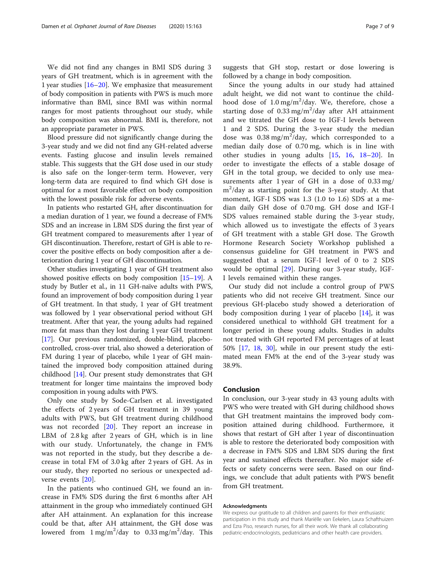We did not find any changes in BMI SDS during 3 years of GH treatment, which is in agreement with the 1 year studies [\[16](#page-7-0)–[20\]](#page-7-0). We emphasize that measurement of body composition in patients with PWS is much more informative than BMI, since BMI was within normal ranges for most patients throughout our study, while body composition was abnormal. BMI is, therefore, not an appropriate parameter in PWS.

Blood pressure did not significantly change during the 3-year study and we did not find any GH-related adverse events. Fasting glucose and insulin levels remained stable. This suggests that the GH dose used in our study is also safe on the longer-term term. However, very long-term data are required to find which GH dose is optimal for a most favorable effect on body composition with the lowest possible risk for adverse events.

In patients who restarted GH, after discontinuation for a median duration of 1 year, we found a decrease of FM% SDS and an increase in LBM SDS during the first year of GH treatment compared to measurements after 1 year of GH discontinuation. Therefore, restart of GH is able to recover the positive effects on body composition after a deterioration during 1 year of GH discontinuation.

Other studies investigating 1 year of GH treatment also showed positive effects on body composition [\[15](#page-7-0)–[19](#page-7-0)]. A study by Butler et al., in 11 GH-naïve adults with PWS, found an improvement of body composition during 1 year of GH treatment. In that study, 1 year of GH treatment was followed by 1 year observational period without GH treatment. After that year, the young adults had regained more fat mass than they lost during 1 year GH treatment [[17](#page-7-0)]. Our previous randomized, double-blind, placebocontrolled, cross-over trial, also showed a deterioration of FM during 1 year of placebo, while 1 year of GH maintained the improved body composition attained during childhood [\[14\]](#page-7-0). Our present study demonstrates that GH treatment for longer time maintains the improved body composition in young adults with PWS.

Only one study by Sode-Carlsen et al. investigated the effects of 2 years of GH treatment in 39 young adults with PWS, but GH treatment during childhood was not recorded [[20\]](#page-7-0). They report an increase in LBM of 2.8 kg after 2 years of GH, which is in line with our study. Unfortunately, the change in FM% was not reported in the study, but they describe a decrease in total FM of 3.0 kg after 2 years of GH. As in our study, they reported no serious or unexpected adverse events [\[20](#page-7-0)].

In the patients who continued GH, we found an increase in FM% SDS during the first 6 months after AH attainment in the group who immediately continued GH after AH attainment. An explanation for this increase could be that, after AH attainment, the GH dose was lowered from  $1 \text{ mg/m}^2/\text{day}$  to 0.33 mg/m<sup>2</sup>/day. This

Since the young adults in our study had attained adult height, we did not want to continue the childhood dose of  $1.0 \text{ mg/m}^2/\text{day}$ . We, therefore, chose a starting dose of 0.33 mg/m<sup>2</sup>/day after AH attainment and we titrated the GH dose to IGF-I levels between 1 and 2 SDS. During the 3-year study the median dose was  $0.38 \text{ mg/m}^2/\text{day}$ , which corresponded to a median daily dose of 0.70 mg, which is in line with other studies in young adults [[15,](#page-7-0) [16,](#page-7-0) [18](#page-7-0)–[20](#page-7-0)]. In order to investigate the effects of a stable dosage of GH in the total group, we decided to only use measurements after 1 year of GH in a dose of 0.33 mg/ m2 /day as starting point for the 3-year study. At that moment, IGF-I SDS was 1.3 (1.0 to 1.6) SDS at a median daily GH dose of 0.70 mg. GH dose and IGF-I SDS values remained stable during the 3-year study, which allowed us to investigate the effects of 3 years of GH treatment with a stable GH dose. The Growth Hormone Research Society Workshop published a consensus guideline for GH treatment in PWS and suggested that a serum IGF-I level of 0 to 2 SDS would be optimal [[29\]](#page-8-0). During our 3-year study, IGF-I levels remained within these ranges.

Our study did not include a control group of PWS patients who did not receive GH treatment. Since our previous GH-placebo study showed a deterioration of body composition during 1 year of placebo [\[14\]](#page-7-0), it was considered unethical to withhold GH treatment for a longer period in these young adults. Studies in adults not treated with GH reported FM percentages of at least 50% [\[17](#page-7-0), [18](#page-7-0), [30\]](#page-8-0), while in our present study the estimated mean FM% at the end of the 3-year study was 38.9%.

# Conclusion

In conclusion, our 3-year study in 43 young adults with PWS who were treated with GH during childhood shows that GH treatment maintains the improved body composition attained during childhood. Furthermore, it shows that restart of GH after 1 year of discontinuation is able to restore the deteriorated body composition with a decrease in FM% SDS and LBM SDS during the first year and sustained effects thereafter. No major side effects or safety concerns were seen. Based on our findings, we conclude that adult patients with PWS benefit from GH treatment.

### Acknowledgments

We express our gratitude to all children and parents for their enthusiastic participation in this study and thank Mariëlle van Eekelen, Laura Schafthuizen and Ezra Piso, research nurses, for all their work. We thank all collaborating pediatric-endocrinologists, pediatricians and other health care providers.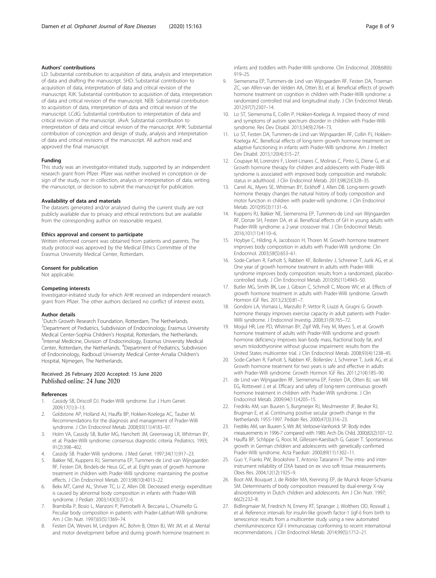### <span id="page-7-0"></span>Authors' contributions

LD: Substantial contribution to acquisition of data, analysis and interpretation of data and drafting the manuscript. SHD: Substantial contribution to acquisition of data, interpretation of data and critical revision of the manuscript. RJK: Substantial contribution to acquisition of data, interpretation of data and critical revision of the manuscript. NEB: Substantial contribution to acquisition of data, interpretation of data and critical revision of the manuscript. LCdG: Substantial contribution to interpretation of data and critical revision of the manuscript. JAvA: Substantial contribution to interpretation of data and critical revision of the manuscript. AHK: Substantial contribution of conception and design of study, analysis and interpretation of data and critical revisions of the manuscript. All authors read and approved the final manuscript.

### Funding

This study was an investigator-initiated study, supported by an independent research grant from Pfizer. Pfizer was neither involved in conception or design of the study, nor in collection, analysis or interpretation of data, writing the manuscript, or decision to submit the manuscript for publication.

### Availability of data and materials

The datasets generated and/or analysed during the current study are not publicly available due to privacy and ethical restrictions but are available from the corresponding author on reasonable request.

### Ethics approval and consent to participate

Written informed consent was obtained from patients and parents. The study protocol was approved by the Medical Ethics Committee of the Erasmus University Medical Center, Rotterdam.

### Consent for publication

Not applicable.

### Competing interests

Investigator-initiated study for which AHK received an independent research grant from Pfizer. The other authors declared no conflict of interest exists.

### Author details

<sup>1</sup>Dutch Growth Research Foundation, Rotterdam, The Netherlands. <sup>2</sup>Department of Pediatrics, Subdivision of Endocrinology, Erasmus University Medical Center-Sophia Children's Hospital, Rotterdam, the Netherlands. <sup>3</sup>Internal Medicine, Division of Endocrinology, Erasmus University Medical Center, Rotterdam, the Netherlands. <sup>4</sup>Department of Pediatrics, Subdivision of Endocrinology, Radboud University Medical Center-Amalia Children's Hospital, Nijmegen, The Netherlands.

### Received: 26 February 2020 Accepted: 15 June 2020 Published online: 24 June 2020

#### References

- 1. Cassidy SB, Driscoll DJ. Prader-Willi syndrome. Eur J Hum Genet. 2009;17(1):3–13.
- 2. Goldstone AP, Holland AJ, Hauffa BP, Hokken-Koelega AC, Tauber M. Recommendations for the diagnosis and management of Prader-Willi syndrome. J Clin Endocrinol Metab. 2008;93(11):4183–97.
- 3. Holm VA, Cassidy SB, Butler MG, Hanchett JM, Greenswag LR, Whitman BY, et al. Prader-Willi syndrome: consensus diagnostic criteria. Pediatrics. 1993; 91(2):398–402.
- 4. Cassidy SB. Prader-Willi syndrome. J Med Genet. 1997;34(11):917–23.
- 5. Bakker NE, Kuppens RJ, Siemensma EP, Tummers-de Lind van Wijngaarden RF, Festen DA, Bindels-de Heus GC, et al. Eight years of growth hormone treatment in children with Prader-Willi syndrome: maintaining the positive effects. J Clin Endocrinol Metab. 2013;98(10):4013–22.
- 6. Bekx MT, Carrel AL, Shriver TC, Li Z, Allen DB. Decreased energy expenditure is caused by abnormal body composition in infants with Prader-Willi syndrome. J Pediatr. 2003;143(3):372–6.
- 7. Brambilla P, Bosio L, Manzoni P, Pietrobelli A, Beccaria L, Chiumello G. Peculiar body composition in patients with Prader-Labhart-Willi syndrome. Am J Clin Nutr. 1997;65(5):1369–74.
- 8. Festen DA, Wevers M, Lindgren AC, Bohm B, Otten BJ, Wit JM, et al. Mental and motor development before and during growth hormone treatment in

infants and toddlers with Prader-Willi syndrome. Clin Endocrinol. 2008;68(6): 919–25.

- 9. Siemensma EP, Tummers-de Lind van Wijngaarden RF, Festen DA, Troeman ZC, van Alfen-van der Velden AA, Otten BJ, et al. Beneficial effects of growth hormone treatment on cognition in children with Prader-Willi syndrome: a randomized controlled trial and longitudinal study. J Clin Endocrinol Metab. 2012;97(7):2307–14.
- 10. Lo ST, Siemensma E, Collin P, Hokken-Koelega A. Impaired theory of mind and symptoms of autism spectrum disorder in children with Prader-Willi syndrome. Res Dev Disabil. 2013;34(9):2764–73.
- 11. Lo ST, Festen DA, Tummers-de Lind van Wijngaarden RF, Collin PJ, Hokken-Koelega AC. Beneficial effects of long-term growth hormone treatment on adaptive functioning in infants with Prader-Willi syndrome. Am J Intellect Dev Disabil. 2015;120(4):315–27.
- 12. Coupaye M, Lorenzini F, Lloret-Linares C, Molinas C, Pinto G, Diene G, et al. Growth hormone therapy for children and adolescents with Prader-Willi syndrome is associated with improved body composition and metabolic status in adulthood. J Clin Endocrinol Metab. 2013;98(2):E328–35.
- 13. Carrel AL, Myers SE, Whitman BY, Eickhoff J, Allen DB. Long-term growth hormone therapy changes the natural history of body composition and motor function in children with prader-willi syndrome. J Clin Endocrinol Metab. 2010;95(3):1131–6.
- 14. Kuppens RJ, Bakker NE, Siemensma EP, Tummers-de Lind van Wijngaarden RF, Donze SH, Festen DA, et al. Beneficial effects of GH in young adults with Prader-Willi syndrome: a 2-year crossover trial. J Clin Endocrinol Metab. 2016;101(11):4110–6.
- 15. Hoybye C, Hilding A, Jacobsson H, Thoren M. Growth hormone treatment improves body composition in adults with Prader-Willi syndrome. Clin Endocrinol. 2003;58(5):653–61.
- 16. Sode-Carlsen R, Farholt S, Rabben KF, Bollerslev J, Schreiner T, Jurik AG, et al. One year of growth hormone treatment in adults with Prader-Willi syndrome improves body composition: results from a randomized, placebocontrolled study. J Clin Endocrinol Metab. 2010;95(11):4943–50.
- 17. Butler MG, Smith BK, Lee J, Gibson C, Schmoll C, Moore WV, et al. Effects of growth hormone treatment in adults with Prader-Willi syndrome. Growth Hormon IGF Res. 2013;23(3):81–7.
- 18. Gondoni LA, Vismara L, Marzullo P, Vettor R, Liuzzi A, Grugni G. Growth hormone therapy improves exercise capacity in adult patients with Prader-Willi syndrome. J Endocrinol Investig. 2008;31(9):765–72.
- 19. Mogul HR, Lee PD, Whitman BY, Zipf WB, Frey M, Myers S, et al. Growth hormone treatment of adults with Prader-Willi syndrome and growth hormone deficiency improves lean body mass, fractional body fat, and serum triiodothyronine without glucose impairment: results from the United States multicenter trial. J Clin Endocrinol Metab. 2008;93(4):1238–45.
- 20. Sode-Carlsen R, Farholt S, Rabben KF, Bollerslev J, Schreiner T, Jurik AG, et al. Growth hormone treatment for two years is safe and effective in adults with Prader-Willi syndrome. Growth Hormon IGF Res. 2011;21(4):185–90.
- 21. de Lind van Wijngaarden RF, Siemensma EP, Festen DA, Otten BJ, van Mil EG, Rotteveel J, et al. Efficacy and safety of long-term continuous growth hormone treatment in children with Prader-Willi syndrome. J Clin Endocrinol Metab. 2009;94(11):4205–15.
- 22. Fredriks AM, van Buuren S, Burgmeijer RJ, Meulmeester JF, Beuker RJ, Brugman E, et al. Continuing positive secular growth change in the Netherlands 1955-1997. Pediatr Res. 2000;47(3):316–23.
- 23. Fredriks AM, van Buuren S, Wit JM, Verloove-Vanhorick SP. Body index measurements in 1996-7 compared with 1980. Arch Dis Child. 2000;82(2):107–12.
- 24. Hauffa BP, Schlippe G, Roos M, Gillessen-Kaesbach G, Gasser T. Spontaneous growth in German children and adolescents with genetically confirmed Prader-Willi syndrome. Acta Paediatr. 2000;89(11):1302–11.
- 25. Guo Y, Franks PW, Brookshire T, Antonio Tataranni P. The intra- and interinstrument reliability of DXA based on ex vivo soft tissue measurements. Obes Res. 2004;12(12):1925–9.
- 26. Boot AM, Bouquet J, de Ridder MA, Krenning EP, de Muinck Keizer-Schrama SM. Determinants of body composition measured by dual-energy X-ray absorptiometry in Dutch children and adolescents. Am J Clin Nutr. 1997; 66(2):232–8.
- 27. Bidlingmaier M, Friedrich N, Emeny RT, Spranger J, Wolthers OD, Roswall J, et al. Reference intervals for insulin-like growth factor-1 (igf-i) from birth to senescence: results from a multicenter study using a new automated chemiluminescence IGF-I immunoassay conforming to recent international recommendations. J Clin Endocrinol Metab. 2014;99(5):1712–21.